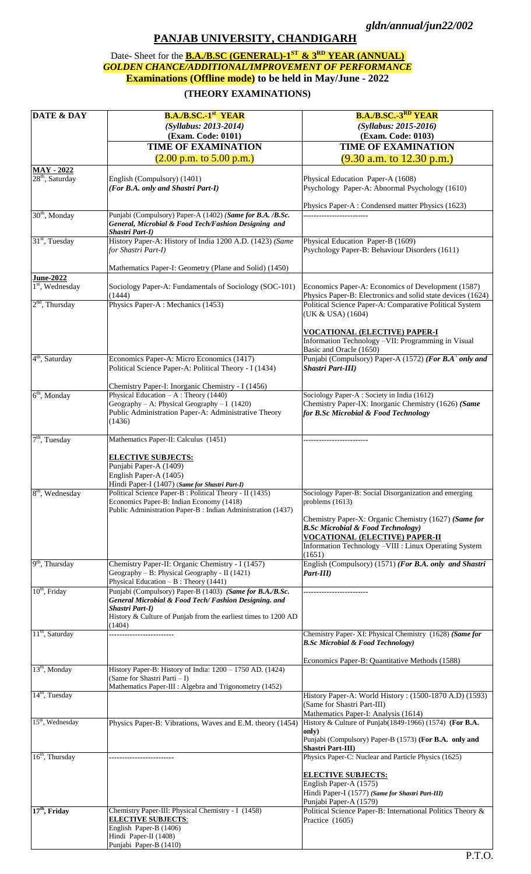## **PANJAB UNIVERSITY, CHANDIGARH**

## Date- Sheet for the **B.A./B.SC (GENERAL)-1 ST & 3RD YEAR (ANNUAL)**  *GOLDEN CHANCE/ADDITIONAL/IMPROVEMENT OF PERFORMANCE* **Examinations (Offline mode) to be held in May/June - 2022**

## **(THEORY EXAMINATIONS)**

| <b>DATE &amp; DAY</b>       | <b>B.A./B.SC.-1st YEAR</b>                                                                                 | <b>B.A./B.SC.-3<sup>RD</sup> YEAR</b>                                                           |
|-----------------------------|------------------------------------------------------------------------------------------------------------|-------------------------------------------------------------------------------------------------|
|                             | (Syllabus: 2013-2014)                                                                                      | (Syllabus: 2015-2016)                                                                           |
|                             |                                                                                                            |                                                                                                 |
|                             | (Exam. Code: 0101)                                                                                         | (Exam. Code: 0103)                                                                              |
|                             | <b>TIME OF EXAMINATION</b>                                                                                 | <b>TIME OF EXAMINATION</b>                                                                      |
|                             | $(2.00 \text{ p.m. to } 5.00 \text{ p.m.})$                                                                | $(9.30$ a.m. to 12.30 p.m.)                                                                     |
| <b>MAY - 2022</b>           |                                                                                                            |                                                                                                 |
| $28th$ , Saturday           | English (Compulsory) (1401)                                                                                | Physical Education Paper-A (1608)                                                               |
|                             | (For B.A. only and Shastri Part-I)                                                                         | Psychology Paper-A: Abnormal Psychology (1610)                                                  |
|                             |                                                                                                            |                                                                                                 |
|                             |                                                                                                            | Physics Paper-A: Condensed matter Physics (1623)                                                |
| $30th$ , Monday             | Punjabi (Compulsory) Paper-A (1402) (Same for B.A. /B.Sc.                                                  |                                                                                                 |
|                             | General, Microbial & Food Tech/Fashion Designing and                                                       |                                                                                                 |
|                             | Shastri Part-I)                                                                                            |                                                                                                 |
| 31 <sup>st</sup> , Tuesday  | History Paper-A: History of India 1200 A.D. (1423) (Same                                                   | Physical Education Paper-B (1609)                                                               |
|                             | for Shastri Part-I)                                                                                        | Psychology Paper-B: Behaviour Disorders (1611)                                                  |
|                             |                                                                                                            |                                                                                                 |
|                             | Mathematics Paper-I: Geometry (Plane and Solid) (1450)                                                     |                                                                                                 |
| <b>June-2022</b>            |                                                                                                            |                                                                                                 |
| $1st$ , Wednesday           | Sociology Paper-A: Fundamentals of Sociology (SOC-101)                                                     | Economics Paper-A: Economics of Development (1587)                                              |
|                             | (1444)                                                                                                     | Physics Paper-B: Electronics and solid state devices (1624)                                     |
| $2nd$ , Thursday            | Physics Paper-A : Mechanics (1453)                                                                         | Political Science Paper-A: Comparative Political System                                         |
|                             |                                                                                                            | (UK & USA) (1604)                                                                               |
|                             |                                                                                                            |                                                                                                 |
|                             |                                                                                                            | <u>VOCATIONAL (ELECTIVE) PAPER-I</u><br>Information Technology -VII: Programming in Visual      |
|                             |                                                                                                            | Basic and Oracle (1650)                                                                         |
| $4th$ , Saturday            | Economics Paper-A: Micro Economics (1417)                                                                  | Punjabi (Compulsory) Paper-A (1572) (For B.A` only and                                          |
|                             | Political Science Paper-A: Political Theory - I (1434)                                                     | Shastri Part-III)                                                                               |
|                             |                                                                                                            |                                                                                                 |
|                             | Chemistry Paper-I: Inorganic Chemistry - I (1456)                                                          |                                                                                                 |
| $6th$ , Monday              | Physical Education $-A$ : Theory (1440)                                                                    | Sociology Paper-A: Society in India (1612)                                                      |
|                             | Geography - A: Physical Geography - I $(1420)$                                                             | Chemistry Paper-IX: Inorganic Chemistry (1626) (Same                                            |
|                             | Public Administration Paper-A: Administrative Theory                                                       | for B.Sc Microbial & Food Technology                                                            |
|                             | (1436)                                                                                                     |                                                                                                 |
|                             |                                                                                                            |                                                                                                 |
| $7th$ , Tuesday             | Mathematics Paper-II: Calculus (1451)                                                                      |                                                                                                 |
|                             |                                                                                                            |                                                                                                 |
|                             | <b>ELECTIVE SUBJECTS:</b>                                                                                  |                                                                                                 |
|                             | Punjabi Paper-A (1409)                                                                                     |                                                                                                 |
|                             | English Paper-A (1405)                                                                                     |                                                                                                 |
| 8 <sup>th</sup> , Wednesday | Hindi Paper-I (1407) (Same for Shastri Part-I)<br>Political Science Paper-B : Political Theory - II (1435) | Sociology Paper-B: Social Disorganization and emerging                                          |
|                             | Economics Paper-B: Indian Economy (1418)                                                                   | problems $(1613)$                                                                               |
|                             | Public Administration Paper-B : Indian Administration (1437)                                               |                                                                                                 |
|                             |                                                                                                            | Chemistry Paper-X: Organic Chemistry (1627) (Same for                                           |
|                             |                                                                                                            | <b>B.Sc Microbial &amp; Food Technology</b> )                                                   |
|                             |                                                                                                            | <u>VOCATIONAL (ELECTIVE) PAPER-II</u>                                                           |
|                             |                                                                                                            | Information Technology -VIII : Linux Operating System                                           |
|                             |                                                                                                            | (1651)                                                                                          |
| $9th$ , Thursday            | Chemistry Paper-II: Organic Chemistry - I (1457)                                                           | English (Compulsory) (1571) (For B.A. only and Shastri                                          |
|                             | Geography – B: Physical Geography - II (1421)                                                              | Part-III)                                                                                       |
|                             | Physical Education $- B$ : Theory (1441)                                                                   |                                                                                                 |
| $10th$ , Friday             | Punjabi (Compulsory) Paper-B (1403) (Same for B.A./B.Sc.                                                   |                                                                                                 |
|                             | General Microbial & Food Tech/ Fashion Designing. and                                                      |                                                                                                 |
|                             | Shastri Part-I)<br>History & Culture of Punjab from the earliest times to 1200 AD                          |                                                                                                 |
|                             | (1404)                                                                                                     |                                                                                                 |
| $11th$ , Saturday           |                                                                                                            | Chemistry Paper- XI: Physical Chemistry (1628) (Same for                                        |
|                             |                                                                                                            | <b>B.Sc Microbial &amp; Food Technology</b> )                                                   |
|                             |                                                                                                            |                                                                                                 |
|                             |                                                                                                            | Economics Paper-B: Quantitative Methods (1588)                                                  |
| $13th$ , Monday             | History Paper-B: History of India: 1200 - 1750 AD. (1424)                                                  |                                                                                                 |
|                             | (Same for Shastri Parti - I)                                                                               |                                                                                                 |
|                             | Mathematics Paper-III : Algebra and Trigonometry (1452)                                                    |                                                                                                 |
| $14th$ , Tuesday            |                                                                                                            | History Paper-A: World History: (1500-1870 A.D) (1593)                                          |
|                             |                                                                                                            | (Same for Shastri Part-III)                                                                     |
| $15th$ , Wednesday          |                                                                                                            | Mathematics Paper-I: Analysis (1614)<br>History & Culture of Punjab(1849-1966) (1574) (For B.A. |
|                             | Physics Paper-B: Vibrations, Waves and E.M. theory (1454)                                                  | only)                                                                                           |
|                             |                                                                                                            | Punjabi (Compulsory) Paper-B (1573) (For B.A. only and                                          |
|                             |                                                                                                            | <b>Shastri Part-III</b> )                                                                       |
| $16th$ , Thursday           |                                                                                                            | Physics Paper-C: Nuclear and Particle Physics (1625)                                            |
|                             |                                                                                                            |                                                                                                 |
|                             |                                                                                                            | <b>ELECTIVE SUBJECTS:</b>                                                                       |
|                             |                                                                                                            | English Paper-A (1575)                                                                          |
|                             |                                                                                                            | Hindi Paper-I (1577) (Same for Shastri Part-III)                                                |
|                             |                                                                                                            | Punjabi Paper-A (1579)                                                                          |
| $17th$ , Friday             | Chemistry Paper-III: Physical Chemistry - I (1458)                                                         | Political Science Paper-B: International Politics Theory &                                      |
|                             | <b>ELECTIVE SUBJECTS:</b>                                                                                  | Practice (1605)                                                                                 |
|                             | English Paper-B (1406)<br>Hindi Paper-II (1408)                                                            |                                                                                                 |
|                             | Punjabi Paper-B (1410)                                                                                     |                                                                                                 |
|                             |                                                                                                            |                                                                                                 |